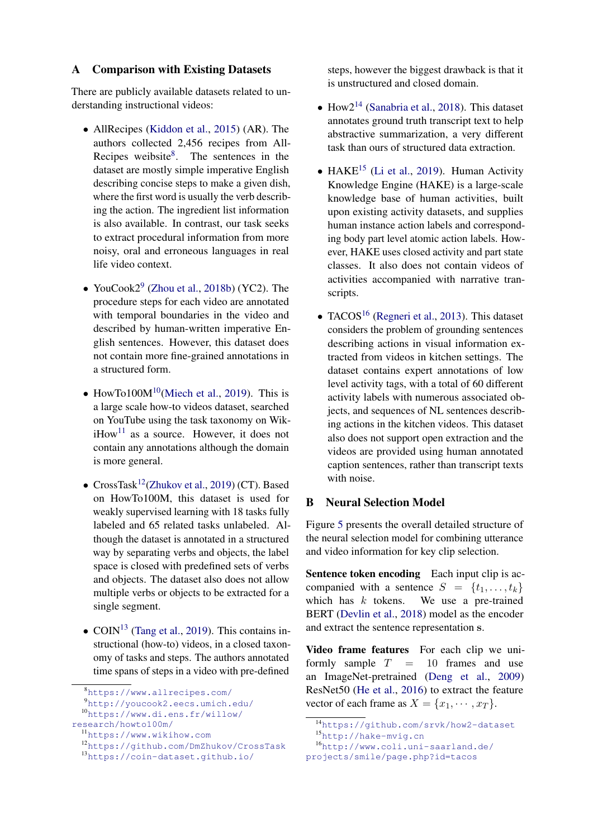### A Comparison with Existing Datasets

There are publicly available datasets related to understanding instructional videos:

- AllRecipes (Kiddon et al., 2015) (AR). The authors collected 2,456 recipes from All-Recipes weibsite<sup>8</sup>. The sentences in the dataset are mostly simple imperative English describing concise steps to make a given dish, where the first word is usually the verb describing the action. The ingredient list information is also available. In contrast, our task seeks to extract procedural information from more noisy, oral and erroneous languages in real life video context.
- YouCook2<sup>9</sup> (Zhou et al., 2018b) (YC2). The procedure steps for each video are annotated with temporal boundaries in the video and described by human-written imperative English sentences. However, this dataset does not contain more fine-grained annotations in a structured form.
- HowTo100 $M^{10}$ (Miech et al., 2019). This is a large scale how-to videos dataset, searched on YouTube using the task taxonomy on Wik $i$ How<sup>11</sup> as a source. However, it does not contain any annotations although the domain is more general.
- CrossTask<sup>12</sup>(Zhukov et al., 2019) (CT). Based on HowTo100M, this dataset is used for weakly supervised learning with 18 tasks fully labeled and 65 related tasks unlabeled. Although the dataset is annotated in a structured way by separating verbs and objects, the label space is closed with predefined sets of verbs and objects. The dataset also does not allow multiple verbs or objects to be extracted for a single segment.
- COIN<sup>13</sup> (Tang et al., 2019). This contains instructional (how-to) videos, in a closed taxonomy of tasks and steps. The authors annotated time spans of steps in a video with pre-defined

steps, however the biggest drawback is that it is unstructured and closed domain.

- How $2^{14}$  (Sanabria et al., 2018). This dataset annotates ground truth transcript text to help abstractive summarization, a very different task than ours of structured data extraction.
- HAKE<sup>15</sup> (Li et al., 2019). Human Activity Knowledge Engine (HAKE) is a large-scale knowledge base of human activities, built upon existing activity datasets, and supplies human instance action labels and corresponding body part level atomic action labels. However, HAKE uses closed activity and part state classes. It also does not contain videos of activities accompanied with narrative transcripts.
- TACOS<sup>16</sup> (Regneri et al., 2013). This dataset considers the problem of grounding sentences describing actions in visual information extracted from videos in kitchen settings. The dataset contains expert annotations of low level activity tags, with a total of 60 different activity labels with numerous associated objects, and sequences of NL sentences describing actions in the kitchen videos. This dataset also does not support open extraction and the videos are provided using human annotated caption sentences, rather than transcript texts with noise.

### B Neural Selection Model

Figure 5 presents the overall detailed structure of the neural selection model for combining utterance and video information for key clip selection.

Sentence token encoding Each input clip is accompanied with a sentence  $S = \{t_1, \ldots, t_k\}$ which has  $k$  tokens. We use a pre-trained BERT (Devlin et al., 2018) model as the encoder and extract the sentence representation s.

Video frame features For each clip we uniformly sample  $T = 10$  frames and use an ImageNet-pretrained (Deng et al., 2009) ResNet50 (He et al., 2016) to extract the feature vector of each frame as  $X = \{x_1, \dots, x_T\}.$ 

<sup>8</sup><https://www.allrecipes.com/>

<sup>9</sup><http://youcook2.eecs.umich.edu/>

<sup>10</sup>[https://www.di.ens.fr/willow/](https://www.di.ens.fr/willow/research/howto100m/) [research/howto100m/](https://www.di.ens.fr/willow/research/howto100m/)

<sup>11</sup><https://www.wikihow.com>

<sup>12</sup><https://github.com/DmZhukov/CrossTask>

<sup>13</sup><https://coin-dataset.github.io/>

<sup>14</sup><https://github.com/srvk/how2-dataset> <sup>15</sup><http://hake-mvig.cn>

<sup>16</sup>[http://www.coli.uni-saarland.de/](http://www.coli.uni-saarland.de/projects/smile/page.php?id=tacos)

[projects/smile/page.php?id=tacos](http://www.coli.uni-saarland.de/projects/smile/page.php?id=tacos)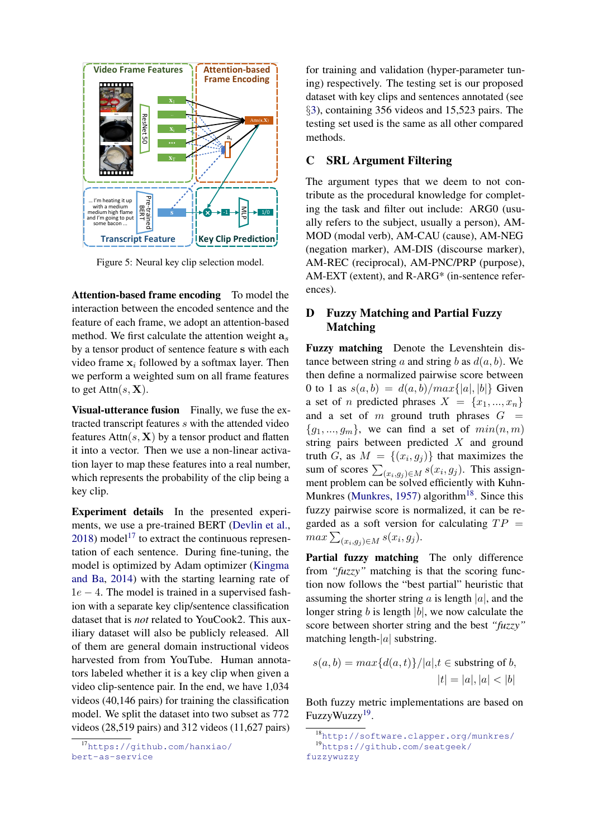

Figure 5: Neural key clip selection model.

Attention-based frame encoding To model the interaction between the encoded sentence and the feature of each frame, we adopt an attention-based method. We first calculate the attention weight  $a_s$ by a tensor product of sentence feature s with each video frame  $x_i$  followed by a softmax layer. Then we perform a weighted sum on all frame features to get  $Attn(s, X)$ .

Visual-utterance fusion Finally, we fuse the extracted transcript features s with the attended video features  $Attn(s, X)$  by a tensor product and flatten it into a vector. Then we use a non-linear activation layer to map these features into a real number, which represents the probability of the clip being a key clip.

Experiment details In the presented experiments, we use a pre-trained BERT (Devlin et al.,  $2018$ ) model<sup>17</sup> to extract the continuous representation of each sentence. During fine-tuning, the model is optimized by Adam optimizer (Kingma and Ba, 2014) with the starting learning rate of  $1e - 4$ . The model is trained in a supervised fashion with a separate key clip/sentence classification dataset that is *not* related to YouCook2. This auxiliary dataset will also be publicly released. All of them are general domain instructional videos harvested from from YouTube. Human annotators labeled whether it is a key clip when given a video clip-sentence pair. In the end, we have 1,034 videos (40,146 pairs) for training the classification model. We split the dataset into two subset as 772 videos (28,519 pairs) and 312 videos (11,627 pairs)

for training and validation (hyper-parameter tuning) respectively. The testing set is our proposed dataset with key clips and sentences annotated (see §3), containing 356 videos and 15,523 pairs. The testing set used is the same as all other compared methods.

# C SRL Argument Filtering

The argument types that we deem to not contribute as the procedural knowledge for completing the task and filter out include: ARG0 (usually refers to the subject, usually a person), AM-MOD (modal verb), AM-CAU (cause), AM-NEG (negation marker), AM-DIS (discourse marker), AM-REC (reciprocal), AM-PNC/PRP (purpose), AM-EXT (extent), and R-ARG\* (in-sentence references).

# D Fuzzy Matching and Partial Fuzzy Matching

Fuzzy matching Denote the Levenshtein distance between string a and string b as  $d(a, b)$ . We then define a normalized pairwise score between 0 to 1 as  $s(a, b) = d(a, b) / max\{|a|, |b|\}$  Given a set of *n* predicted phrases  $X = \{x_1, ..., x_n\}$ and a set of  $m$  ground truth phrases  $G =$  ${g_1, ..., g_m}$ , we can find a set of  $min(n, m)$ string pairs between predicted X and ground truth G, as  $M = \{(x_i, g_j)\}\$  that maximizes the sum of scores  $\sum_{(x_i,g_j)\in M} s(x_i,g_j)$ . This assignment problem can be solved efficiently with Kuhn-Munkres (Munkres, 1957) algorithm<sup>18</sup>. Since this fuzzy pairwise score is normalized, it can be regarded as a soft version for calculating  $TP =$  $max \sum_{(x_i,g_j)\in M} s(x_i,g_j).$ 

Partial fuzzy matching The only difference from *"fuzzy"* matching is that the scoring function now follows the "best partial" heuristic that assuming the shorter string a is length  $|a|$ , and the longer string b is length  $|b|$ , we now calculate the score between shorter string and the best *"fuzzy"* matching length- $|a|$  substring.

$$
s(a,b) = max{d(a,t)} / |a|, t \in \text{substring of } b,
$$
  

$$
|t| = |a|, |a| < |b|
$$

Both fuzzy metric implementations are based on FuzzyWuzzy<sup>19</sup>.

<sup>17</sup>[https://github.com/hanxiao/](https://github.com/hanxiao/bert-as-service) [bert-as-service](https://github.com/hanxiao/bert-as-service)

<sup>18</sup><http://software.clapper.org/munkres/> <sup>19</sup>[https://github.com/seatgeek/](https://github.com/seatgeek/fuzzywuzzy) [fuzzywuzzy](https://github.com/seatgeek/fuzzywuzzy)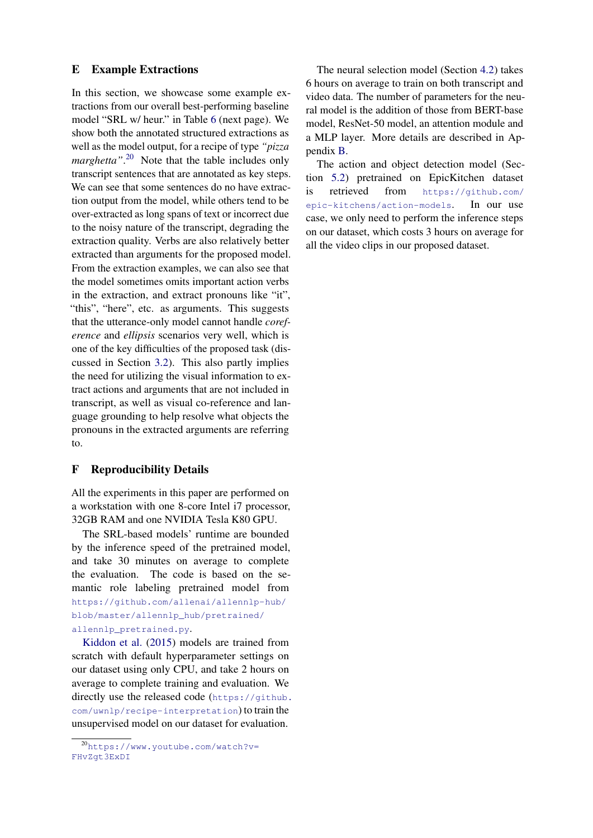### E Example Extractions

In this section, we showcase some example extractions from our overall best-performing baseline model "SRL w/ heur." in Table 6 (next page). We show both the annotated structured extractions as well as the model output, for a recipe of type *"pizza marghetta"*. 20 Note that the table includes only transcript sentences that are annotated as key steps. We can see that some sentences do no have extraction output from the model, while others tend to be over-extracted as long spans of text or incorrect due to the noisy nature of the transcript, degrading the extraction quality. Verbs are also relatively better extracted than arguments for the proposed model. From the extraction examples, we can also see that the model sometimes omits important action verbs in the extraction, and extract pronouns like "it", "this", "here", etc. as arguments. This suggests that the utterance-only model cannot handle *coreference* and *ellipsis* scenarios very well, which is one of the key difficulties of the proposed task (discussed in Section 3.2). This also partly implies the need for utilizing the visual information to extract actions and arguments that are not included in transcript, as well as visual co-reference and language grounding to help resolve what objects the pronouns in the extracted arguments are referring to.

## F Reproducibility Details

All the experiments in this paper are performed on a workstation with one 8-core Intel i7 processor, 32GB RAM and one NVIDIA Tesla K80 GPU.

The SRL-based models' runtime are bounded by the inference speed of the pretrained model, and take 30 minutes on average to complete the evaluation. The code is based on the semantic role labeling pretrained model from [https://github.com/allenai/allennlp-hub/](https://github.com/allenai/allennlp-hub/blob/master/allennlp_hub/pretrained/allennlp_pretrained.py) [blob/master/allennlp\\_hub/pretrained/](https://github.com/allenai/allennlp-hub/blob/master/allennlp_hub/pretrained/allennlp_pretrained.py) [allennlp\\_pretrained.py](https://github.com/allenai/allennlp-hub/blob/master/allennlp_hub/pretrained/allennlp_pretrained.py).

Kiddon et al. (2015) models are trained from scratch with default hyperparameter settings on our dataset using only CPU, and take 2 hours on average to complete training and evaluation. We directly use the released code ([https://github.](https://github.com/uwnlp/recipe-interpretation) [com/uwnlp/recipe-interpretation](https://github.com/uwnlp/recipe-interpretation)) to train the unsupervised model on our dataset for evaluation.

The neural selection model (Section [4.2\)](#page-4-0) takes 6 hours on average to train on both transcript and video data. The number of parameters for the neural model is the addition of those from BERT-base model, ResNet-50 model, an attention module and a MLP layer. More details are described in Appendix B.

The action and object detection model (Section [5.2\)](#page-4-0) pretrained on EpicKitchen dataset is retrieved from [https://github.com/](https://github.com/epic-kitchens/action-models) [epic-kitchens/action-models](https://github.com/epic-kitchens/action-models). In our use case, we only need to perform the inference steps on our dataset, which costs 3 hours on average for all the video clips in our proposed dataset.

<sup>20</sup>[https://www.youtube.com/watch?v=](https://www.youtube.com/watch?v=FHvZgt3ExDI) [FHvZgt3ExDI](https://www.youtube.com/watch?v=FHvZgt3ExDI)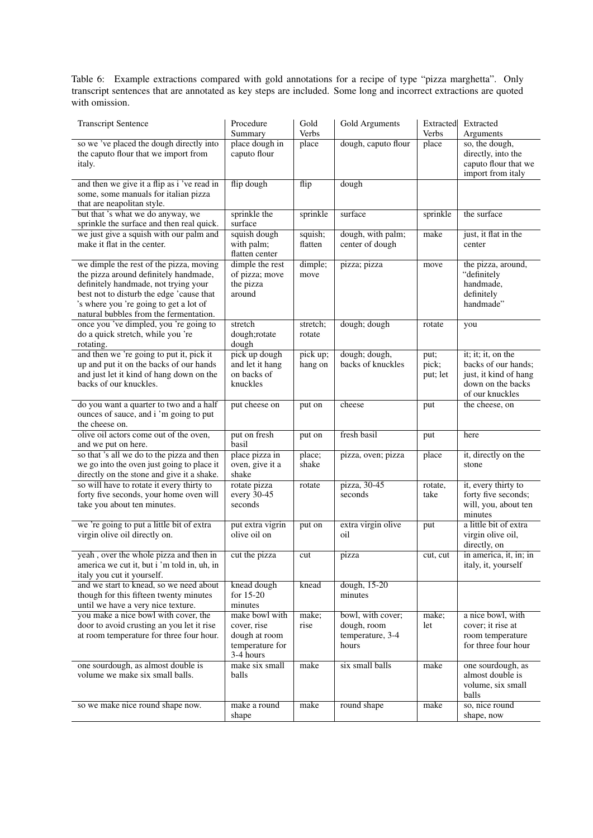Table 6: Example extractions compared with gold annotations for a recipe of type "pizza marghetta". Only transcript sentences that are annotated as key steps are included. Some long and incorrect extractions are quoted with omission.

| <b>Transcript Sentence</b>                                                                                                                                                                                                                               | Procedure<br>Summary                                                           | Gold<br>Verbs       | Gold Arguments                                                | Extracted<br>Verbs        | Extracted<br>Arguments                                                                                     |
|----------------------------------------------------------------------------------------------------------------------------------------------------------------------------------------------------------------------------------------------------------|--------------------------------------------------------------------------------|---------------------|---------------------------------------------------------------|---------------------------|------------------------------------------------------------------------------------------------------------|
| so we 've placed the dough directly into<br>the caputo flour that we import from<br>italy.                                                                                                                                                               | place dough in<br>caputo flour                                                 | place               | dough, caputo flour                                           | place                     | so, the dough,<br>directly, into the<br>caputo flour that we<br>import from italy                          |
| and then we give it a flip as i 've read in<br>some, some manuals for italian pizza<br>that are neapolitan style.                                                                                                                                        | flip dough                                                                     | flip                | dough                                                         |                           |                                                                                                            |
| but that 's what we do anyway, we<br>sprinkle the surface and then real quick.                                                                                                                                                                           | sprinkle the<br>surface                                                        | sprinkle            | surface                                                       | sprinkle                  | the surface                                                                                                |
| we just give a squish with our palm and<br>make it flat in the center.                                                                                                                                                                                   | squish dough<br>with palm;<br>flatten center                                   | squish;<br>flatten  | dough, with palm;<br>center of dough                          | make                      | just, it flat in the<br>center                                                                             |
| we dimple the rest of the pizza, moving<br>the pizza around definitely handmade,<br>definitely handmade, not trying your<br>best not to disturb the edge 'cause that<br>'s where you 're going to get a lot of<br>natural bubbles from the fermentation. | dimple the rest<br>of pizza; move<br>the pizza<br>around                       | dimple;<br>move     | pizza; pizza                                                  | move                      | the pizza, around,<br>"definitely<br>handmade,<br>definitely<br>handmade"                                  |
| once you 've dimpled, you 're going to<br>do a quick stretch, while you 're<br>rotating.                                                                                                                                                                 | stretch<br>dough;rotate<br>dough                                               | stretch;<br>rotate  | dough; dough                                                  | rotate                    | you                                                                                                        |
| and then we 're going to put it, pick it<br>up and put it on the backs of our hands<br>and just let it kind of hang down on the<br>backs of our knuckles.                                                                                                | pick up dough<br>and let it hang<br>on backs of<br>knuckles                    | pick up;<br>hang on | dough; dough,<br>backs of knuckles                            | put;<br>pick;<br>put; let | it; it; it, on the<br>backs of our hands;<br>just, it kind of hang<br>down on the backs<br>of our knuckles |
| do you want a quarter to two and a half<br>ounces of sauce, and i'm going to put<br>the cheese on.                                                                                                                                                       | put cheese on                                                                  | put on              | cheese                                                        | put                       | the cheese, on                                                                                             |
| olive oil actors come out of the oven,<br>and we put on here.                                                                                                                                                                                            | put on fresh<br>basil                                                          | put on              | fresh basil                                                   | put                       | here                                                                                                       |
| so that 's all we do to the pizza and then<br>we go into the oven just going to place it<br>directly on the stone and give it a shake.                                                                                                                   | place pizza in<br>oven, give it a<br>shake                                     | place;<br>shake     | pizza, oven; pizza                                            | place                     | it, directly on the<br>stone                                                                               |
| so will have to rotate it every thirty to<br>forty five seconds, your home oven will<br>take you about ten minutes.                                                                                                                                      | rotate pizza<br>every 30-45<br>seconds                                         | rotate              | pizza, 30-45<br>seconds                                       | rotate,<br>take           | it, every thirty to<br>forty five seconds;<br>will, you, about ten<br>minutes                              |
| we 're going to put a little bit of extra<br>virgin olive oil directly on.                                                                                                                                                                               | put extra vigrin<br>olive oil on                                               | put on              | extra virgin olive<br>oil                                     | put                       | a little bit of extra<br>virgin olive oil,<br>directly, on                                                 |
| yeah, over the whole pizza and then in<br>america we cut it, but i 'm told in, uh, in<br>italy you cut it yourself.                                                                                                                                      | cut the pizza                                                                  | cut                 | pizza                                                         | cut, cut                  | in america, it, in; in<br>italy, it, yourself                                                              |
| and we start to knead, so we need about<br>though for this fifteen twenty minutes<br>until we have a very nice texture.                                                                                                                                  | knead dough<br>for $15-20$<br>minutes                                          | knead               | dough, 15-20<br>minutes                                       |                           |                                                                                                            |
| you make a nice bowl with cover, the<br>door to avoid crusting an you let it rise<br>at room temperature for three four hour.                                                                                                                            | make bowl with<br>cover, rise<br>dough at room<br>temperature for<br>3-4 hours | make;<br>rise       | bowl, with cover;<br>dough, room<br>temperature, 3-4<br>hours | make;<br>let              | a nice bowl, with<br>cover; it rise at<br>room temperature<br>for three four hour                          |
| one sourdough, as almost double is<br>volume we make six small balls.                                                                                                                                                                                    | make six small<br>balls                                                        | make                | six small balls                                               | make                      | one sourdough, as<br>almost double is<br>volume, six small<br>balls                                        |
| so we make nice round shape now.                                                                                                                                                                                                                         | make a round<br>shape                                                          | make                | round shape                                                   | make                      | so, nice round<br>shape, now                                                                               |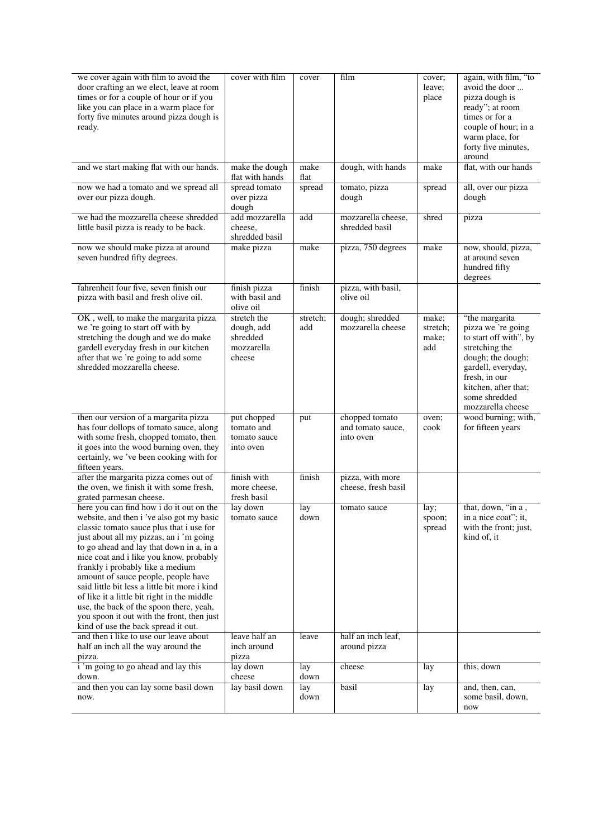<span id="page-4-0"></span>

| we cover again with film to avoid the<br>door crafting an we elect, leave at room<br>times or for a couple of hour or if you<br>like you can place in a warm place for<br>forty five minutes around pizza dough is<br>ready.                                                                                                                                                                                                                                                                                                                                                   | cover with film                                               | cover           | film                                             | cover;<br>leave;<br>place         | again, with film, "to<br>avoid the door<br>pizza dough is<br>ready"; at room<br>times or for a<br>couple of hour; in a<br>warm place, for<br>forty five minutes,<br>around                                 |
|--------------------------------------------------------------------------------------------------------------------------------------------------------------------------------------------------------------------------------------------------------------------------------------------------------------------------------------------------------------------------------------------------------------------------------------------------------------------------------------------------------------------------------------------------------------------------------|---------------------------------------------------------------|-----------------|--------------------------------------------------|-----------------------------------|------------------------------------------------------------------------------------------------------------------------------------------------------------------------------------------------------------|
| and we start making flat with our hands.                                                                                                                                                                                                                                                                                                                                                                                                                                                                                                                                       | make the dough<br>flat with hands                             | make<br>flat    | dough, with hands                                | make                              | flat, with our hands                                                                                                                                                                                       |
| now we had a tomato and we spread all<br>over our pizza dough.                                                                                                                                                                                                                                                                                                                                                                                                                                                                                                                 | spread tomato<br>over pizza<br>dough                          | spread          | tomato, pizza<br>dough                           | spread                            | all, over our pizza<br>dough                                                                                                                                                                               |
| we had the mozzarella cheese shredded<br>little basil pizza is ready to be back.                                                                                                                                                                                                                                                                                                                                                                                                                                                                                               | add mozzarella<br>cheese,<br>shredded basil                   | add             | mozzarella cheese,<br>shredded basil             | shred                             | pizza                                                                                                                                                                                                      |
| now we should make pizza at around<br>seven hundred fifty degrees.                                                                                                                                                                                                                                                                                                                                                                                                                                                                                                             | make pizza                                                    | make            | pizza, 750 degrees                               | make                              | now, should, pizza,<br>at around seven<br>hundred fifty<br>degrees                                                                                                                                         |
| fahrenheit four five, seven finish our<br>pizza with basil and fresh olive oil.                                                                                                                                                                                                                                                                                                                                                                                                                                                                                                | finish pizza<br>with basil and<br>olive oil                   | finish          | pizza, with basil,<br>olive oil                  |                                   |                                                                                                                                                                                                            |
| OK, well, to make the margarita pizza<br>we 're going to start off with by<br>stretching the dough and we do make<br>gardell everyday fresh in our kitchen<br>after that we 're going to add some<br>shredded mozzarella cheese.                                                                                                                                                                                                                                                                                                                                               | stretch the<br>dough, add<br>shredded<br>mozzarella<br>cheese | stretch;<br>add | dough; shredded<br>mozzarella cheese             | make;<br>stretch;<br>make;<br>add | "the margarita<br>pizza we 're going<br>to start off with", by<br>stretching the<br>dough; the dough;<br>gardell, everyday,<br>fresh, in our<br>kitchen, after that;<br>some shredded<br>mozzarella cheese |
| then our version of a margarita pizza<br>has four dollops of tomato sauce, along<br>with some fresh, chopped tomato, then<br>it goes into the wood burning oven, they<br>certainly, we 've been cooking with for<br>fifteen years.                                                                                                                                                                                                                                                                                                                                             | put chopped<br>tomato and<br>tomato sauce<br>into oven        | put             | chopped tomato<br>and tomato sauce,<br>into oven | oven;<br>cook                     | wood burning; with,<br>for fifteen years                                                                                                                                                                   |
| after the margarita pizza comes out of<br>the oven, we finish it with some fresh,<br>grated parmesan cheese.                                                                                                                                                                                                                                                                                                                                                                                                                                                                   | finish with<br>more cheese,<br>fresh basil                    | finish          | pizza, with more<br>cheese, fresh basil          |                                   |                                                                                                                                                                                                            |
| here you can find how i do it out on the<br>website, and then i 've also got my basic<br>classic tomato sauce plus that i use for<br>just about all my pizzas, an i 'm going<br>to go ahead and lay that down in a, in a<br>nice coat and i like you know, probably<br>frankly i probably like a medium<br>amount of sauce people, people have<br>said little bit less a little bit more i kind<br>of like it a little bit right in the middle<br>use, the back of the spoon there, yeah,<br>you spoon it out with the front, then just<br>kind of use the back spread it out. | lay down<br>tomato sauce                                      | lay<br>down     | tomato sauce                                     | lay;<br>spoon;<br>spread          | that, down, "in a,<br>in a nice coat"; it,<br>with the front; just,<br>kind of, it                                                                                                                         |
| and then i like to use our leave about<br>half an inch all the way around the<br>pizza.                                                                                                                                                                                                                                                                                                                                                                                                                                                                                        | leave half an<br>inch around<br>pizza                         | leave           | half an inch leaf,<br>around pizza               |                                   |                                                                                                                                                                                                            |
| i'm going to go ahead and lay this<br>down.                                                                                                                                                                                                                                                                                                                                                                                                                                                                                                                                    | lay down<br>cheese                                            | lay<br>down     | cheese                                           | lay                               | this, down                                                                                                                                                                                                 |
| and then you can lay some basil down<br>now.                                                                                                                                                                                                                                                                                                                                                                                                                                                                                                                                   | lay basil down                                                | lay<br>down     | basil                                            | lay                               | and, then, can,<br>some basil, down,<br>now                                                                                                                                                                |